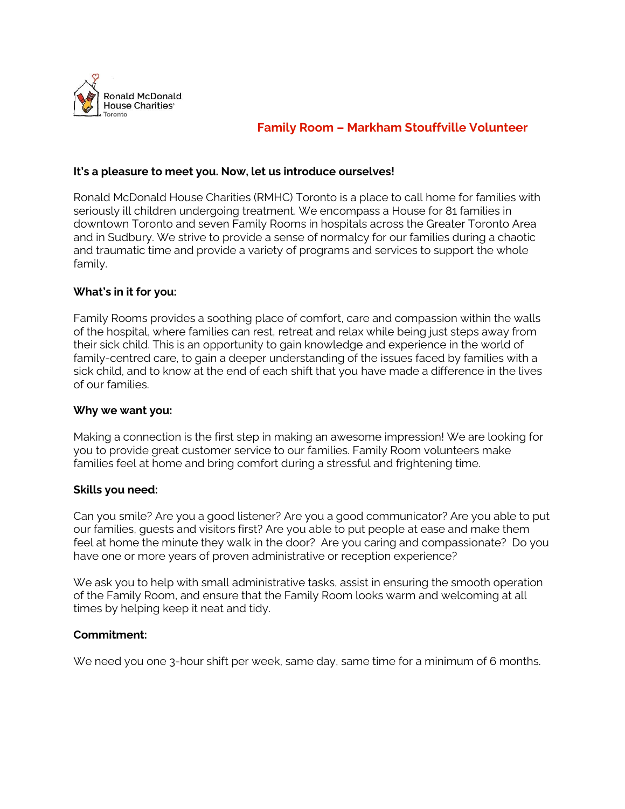

# **Family Room – Markham Stouffville Volunteer**

#### **It's a pleasure to meet you. Now, let us introduce ourselves!**

Ronald McDonald House Charities (RMHC) Toronto is a place to call home for families with seriously ill children undergoing treatment. We encompass a House for 81 families in downtown Toronto and seven Family Rooms in hospitals across the Greater Toronto Area and in Sudbury. We strive to provide a sense of normalcy for our families during a chaotic and traumatic time and provide a variety of programs and services to support the whole family.

#### **What's in it for you:**

Family Rooms provides a soothing place of comfort, care and compassion within the walls of the hospital, where families can rest, retreat and relax while being just steps away from their sick child. This is an opportunity to gain knowledge and experience in the world of family-centred care, to gain a deeper understanding of the issues faced by families with a sick child, and to know at the end of each shift that you have made a difference in the lives of our families.

#### **Why we want you:**

Making a connection is the first step in making an awesome impression! We are looking for you to provide great customer service to our families. Family Room volunteers make families feel at home and bring comfort during a stressful and frightening time.

#### **Skills you need:**

Can you smile? Are you a good listener? Are you a good communicator? Are you able to put our families, guests and visitors first? Are you able to put people at ease and make them feel at home the minute they walk in the door? Are you caring and compassionate? Do you have one or more years of proven administrative or reception experience?

We ask you to help with small administrative tasks, assist in ensuring the smooth operation of the Family Room, and ensure that the Family Room looks warm and welcoming at all times by helping keep it neat and tidy.

## **Commitment:**

We need you one 3-hour shift per week, same day, same time for a minimum of 6 months.